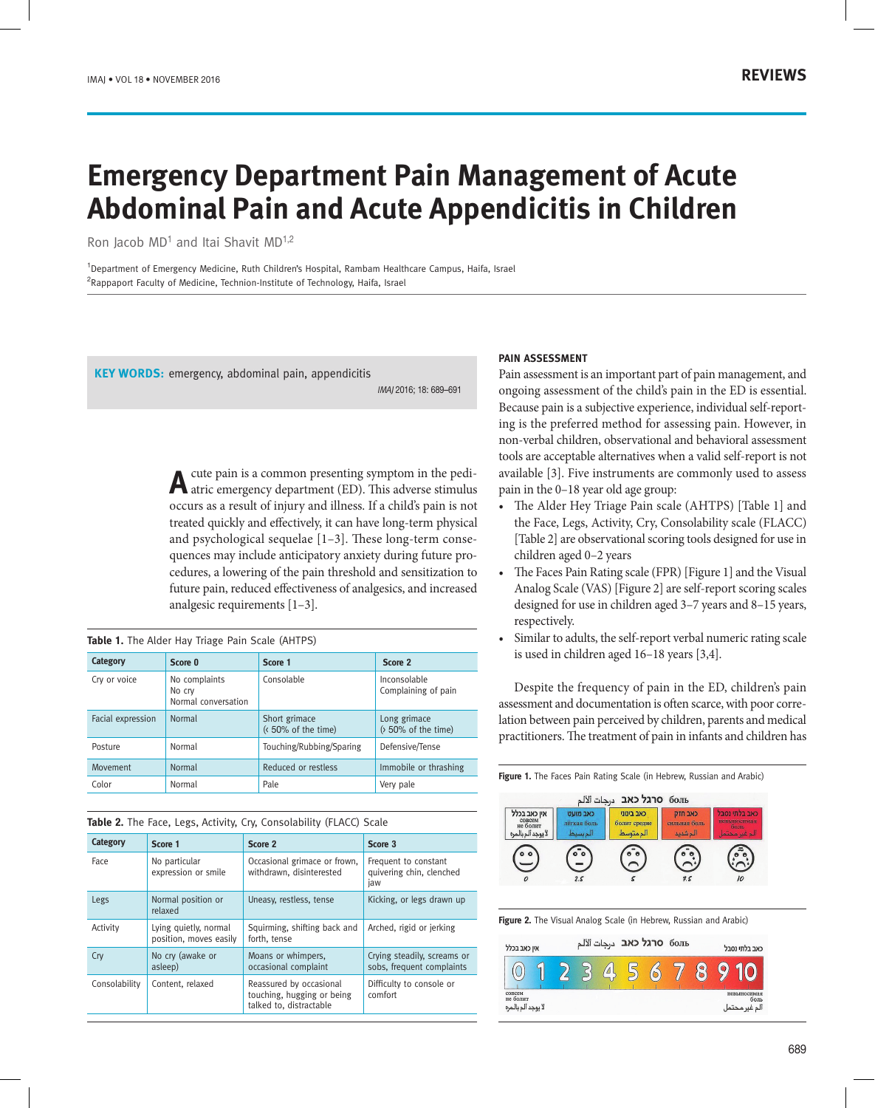# **Emergency Department Pain Management of Acute Abdominal Pain and Acute Appendicitis in Children**

Ron Jacob MD<sup>1</sup> and Itai Shavit MD<sup>1,2</sup>

1 Department of Emergency Medicine, Ruth Children's Hospital, Rambam Healthcare Campus, Haifa, Israel <sup>2</sup>Rappaport Faculty of Medicine, Technion-Institute of Technology, Haifa, Israel

**KEY WORDS:** emergency, abdominal pain, appendicitis

IMAJ 2016; 18: 689–691

A cute pain is a common presenting symptom in the pedi-<br>atric emergency department (ED). This adverse stimulus occurs as a result of injury and illness. If a child's pain is not treated quickly and effectively, it can have long-term physical and psychological sequelae [1–3]. These long-term consequences may include anticipatory anxiety during future procedures, a lowering of the pain threshold and sensitization to future pain, reduced effectiveness of analgesics, and increased analgesic requirements [1–3].

| Category          | Score 0                                        | Score 1                             | Score 2                                      |  |
|-------------------|------------------------------------------------|-------------------------------------|----------------------------------------------|--|
| Cry or voice      | No complaints<br>No crv<br>Normal conversation | Consolable                          | Inconsolable<br>Complaining of pain          |  |
| Facial expression | Normal                                         | Short grimace<br>(<50% of the time) | Long grimace<br>$(50\% \text{ of the time})$ |  |
| Posture           | Normal                                         | Touching/Rubbing/Sparing            | Defensive/Tense                              |  |
| Movement          | Normal                                         | Reduced or restless                 | Immobile or thrashing                        |  |
| Color             | Normal                                         | Pale                                | Very pale                                    |  |

## **Table 2.** The Face, Legs, Activity, Cry, Consolability (FLACC) Scale

| Category      | Score 1                                         | Score 2                                                                          | Score 3                                                  |  |  |
|---------------|-------------------------------------------------|----------------------------------------------------------------------------------|----------------------------------------------------------|--|--|
| Face          | No particular<br>expression or smile            | Occasional grimace or frown,<br>withdrawn, disinterested                         | Frequent to constant<br>quivering chin, clenched<br>jaw  |  |  |
| Legs          | Normal position or<br>relaxed                   | Uneasy, restless, tense                                                          | Kicking, or legs drawn up                                |  |  |
| Activity      | Lying quietly, normal<br>position, moves easily | Squirming, shifting back and<br>forth, tense                                     | Arched, rigid or jerking                                 |  |  |
| Cry           | No cry (awake or<br>asleep)                     | Moans or whimpers,<br>occasional complaint                                       | Crying steadily, screams or<br>sobs, frequent complaints |  |  |
| Consolability | Content, relaxed                                | Reassured by occasional<br>touching, hugging or being<br>talked to, distractable | Difficulty to console or<br>comfort                      |  |  |

## **PAIN ASSESSMENT**

Pain assessment is an important part of pain management, and ongoing assessment of the child's pain in the ED is essential. Because pain is a subjective experience, individual self-reporting is the preferred method for assessing pain. However, in non-verbal children, observational and behavioral assessment tools are acceptable alternatives when a valid self-report is not available [3]. Five instruments are commonly used to assess pain in the 0–18 year old age group:

- The Alder Hey Triage Pain scale (AHTPS) [Table 1] and the Face, Legs, Activity, Cry, Consolability scale (FLACC) [Table 2] are observational scoring tools designed for use in children aged 0–2 years
- The Faces Pain Rating scale (FPR) [Figure 1] and the Visual Analog Scale (VAS) [Figure 2] are self-report scoring scales designed for use in children aged 3–7 years and 8–15 years, respectively.
- Similar to adults, the self-report verbal numeric rating scale is used in children aged 16–18 years [3,4].

Despite the frequency of pain in the ED, children's pain assessment and documentation is often scarce, with poor correlation between pain perceived by children, parents and medical practitioners. The treatment of pain in infants and children has

**Figure 1.** The Faces Pain Rating Scale (in Hebrew, Russian and Arabic)



**Figure 2.** The Visual Analog Scale (in Hebrew, Russian and Arabic)

| אין כאב בכלל                             |  |  | оль <b>оскל כאב</b> <sub>درجات</sub> الالم |  |           | כאב בלתי נסבל                  |
|------------------------------------------|--|--|--------------------------------------------|--|-----------|--------------------------------|
|                                          |  |  |                                            |  | $\bullet$ |                                |
| совсем<br>не болит<br>لا يوجد ألم بالمره |  |  |                                            |  |           | невыносимая<br>боль<br>، محتما |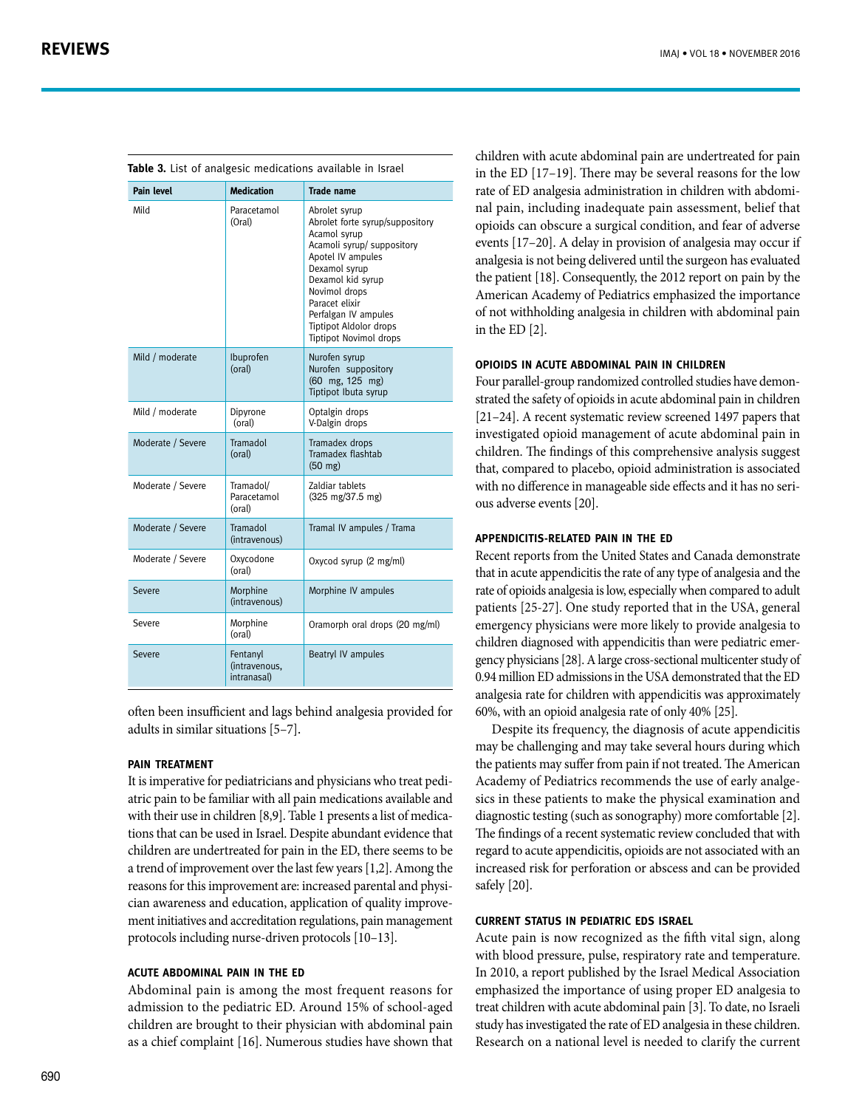| <b>Pain level</b> | <b>Medication</b>                        | <b>Trade name</b>                                                                                                                                                                                                                                                                      |
|-------------------|------------------------------------------|----------------------------------------------------------------------------------------------------------------------------------------------------------------------------------------------------------------------------------------------------------------------------------------|
| Mild              | Paracetamol<br>(Oral)                    | Abrolet syrup<br>Abrolet forte syrup/suppository<br>Acamol syrup<br>Acamoli syrup/ suppository<br>Apotel IV ampules<br>Dexamol syrup<br>Dexamol kid syrup<br>Novimol drops<br>Paracet elixir<br>Perfalgan IV ampules<br><b>Tiptipot Aldolor drops</b><br><b>Tiptipot Novimol drops</b> |
| Mild / moderate   | Ibuprofen<br>(oral)                      | Nurofen syrup<br>Nurofen suppository<br>(60 mg, 125 mg)<br>Tiptipot Ibuta syrup                                                                                                                                                                                                        |
| Mild / moderate   | Dipyrone<br>(oral)                       | Optalgin drops<br>V-Dalgin drops                                                                                                                                                                                                                                                       |
| Moderate / Severe | Tramadol<br>(oral)                       | Tramadex drops<br>Tramadex flashtab<br>$(50 \text{ mg})$                                                                                                                                                                                                                               |
| Moderate / Severe | Tramadol/<br>Paracetamol<br>(oral)       | Zaldiar tablets<br>$(325 \text{ mg}/37.5 \text{ mg})$                                                                                                                                                                                                                                  |
| Moderate / Severe | Tramadol<br>(intravenous)                | Tramal IV ampules / Trama                                                                                                                                                                                                                                                              |
| Moderate / Severe | Oxycodone<br>(oral)                      | Oxycod syrup (2 mg/ml)                                                                                                                                                                                                                                                                 |
| Severe            | Morphine<br>(intravenous)                | Morphine IV ampules                                                                                                                                                                                                                                                                    |
| Severe            | Morphine<br>(oral)                       | Oramorph oral drops (20 mg/ml)                                                                                                                                                                                                                                                         |
| Severe            | Fentanyl<br>(intravenous,<br>intranasal) | Beatryl IV ampules                                                                                                                                                                                                                                                                     |

often been insufficient and lags behind analgesia provided for adults in similar situations [5–7].

## **Pain treatment**

It is imperative for pediatricians and physicians who treat pediatric pain to be familiar with all pain medications available and with their use in children [8,9]. Table 1 presents a list of medications that can be used in Israel. Despite abundant evidence that children are undertreated for pain in the ED, there seems to be a trend of improvement over the last few years [1,2]. Among the reasons for this improvement are: increased parental and physician awareness and education, application of quality improvement initiatives and accreditation regulations, pain management protocols including nurse-driven protocols [10–13].

# **Acute abdominal pain in the ED**

Abdominal pain is among the most frequent reasons for admission to the pediatric ED. Around 15% of school-aged children are brought to their physician with abdominal pain as a chief complaint [16]. Numerous studies have shown that children with acute abdominal pain are undertreated for pain in the ED [17–19]. There may be several reasons for the low rate of ED analgesia administration in children with abdominal pain, including inadequate pain assessment, belief that opioids can obscure a surgical condition, and fear of adverse events [17–20]. A delay in provision of analgesia may occur if analgesia is not being delivered until the surgeon has evaluated the patient [18]. Consequently, the 2012 report on pain by the American Academy of Pediatrics emphasized the importance of not withholding analgesia in children with abdominal pain in the ED [2].

# **Opioids in acute abdominal pain in children**

Four parallel-group randomized controlled studies have demonstrated the safety of opioids in acute abdominal pain in children [21–24]. A recent systematic review screened 1497 papers that investigated opioid management of acute abdominal pain in children. The findings of this comprehensive analysis suggest that, compared to placebo, opioid administration is associated with no difference in manageable side effects and it has no serious adverse events [20].

# **Appendicitis-related pain in the ED**

Recent reports from the United States and Canada demonstrate that in acute appendicitis the rate of any type of analgesia and the rate of opioids analgesia is low, especially when compared to adult patients [25-27]. One study reported that in the USA, general emergency physicians were more likely to provide analgesia to children diagnosed with appendicitis than were pediatric emergency physicians [28]. A large cross-sectional multicenter study of 0.94 million ED admissions in the USA demonstrated that the ED analgesia rate for children with appendicitis was approximately 60%, with an opioid analgesia rate of only 40% [25].

Despite its frequency, the diagnosis of acute appendicitis may be challenging and may take several hours during which the patients may suffer from pain if not treated. The American Academy of Pediatrics recommends the use of early analgesics in these patients to make the physical examination and diagnostic testing (such as sonography) more comfortable [2]. The findings of a recent systematic review concluded that with regard to acute appendicitis, opioids are not associated with an increased risk for perforation or abscess and can be provided safely [20].

# **Current status in pediatric EDs Israel**

Acute pain is now recognized as the fifth vital sign, along with blood pressure, pulse, respiratory rate and temperature. In 2010, a report published by the Israel Medical Association emphasized the importance of using proper ED analgesia to treat children with acute abdominal pain [3]. To date, no Israeli study has investigated the rate of ED analgesia in these children. Research on a national level is needed to clarify the current